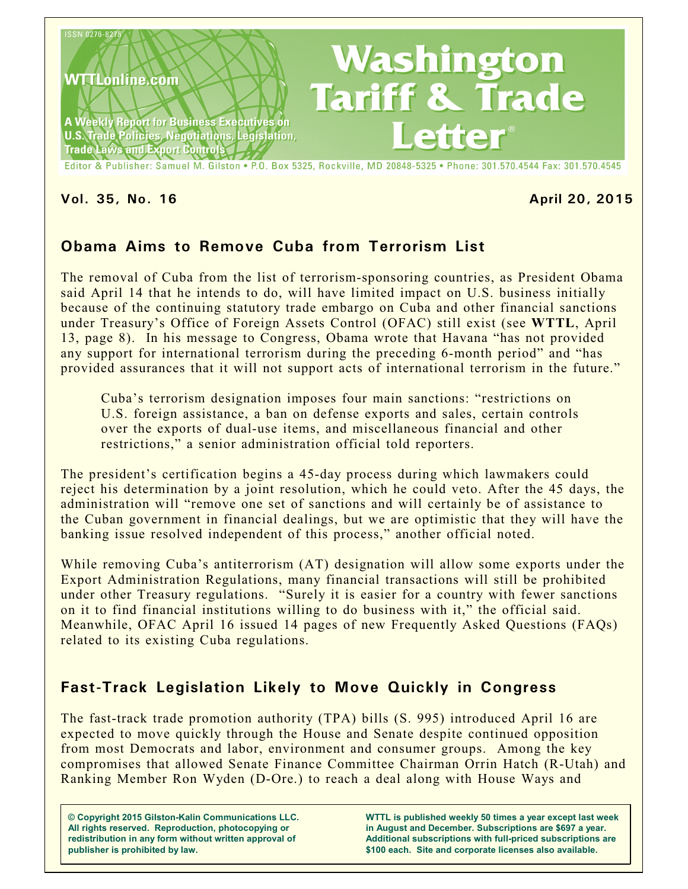

**Vol. 35, No. 16 April 20, 2015**

# **Obama Aims to Remove Cuba from Terrorism List**

The removal of Cuba from the list of terrorism-sponsoring countries, as President Obama said April 14 that he intends to do, will have limited impact on U.S. business initially because of the continuing statutory trade embargo on Cuba and other financial sanctions under Treasury's Office of Foreign Assets Control (OFAC) still exist (see **WTTL**, April 13, page 8). In his message to Congress, Obama wrote that Havana "has not provided any support for international terrorism during the preceding 6-month period" and "has provided assurances that it will not support acts of international terrorism in the future."

Cuba's terrorism designation imposes four main sanctions: "restrictions on U.S. foreign assistance, a ban on defense exports and sales, certain controls over the exports of dual-use items, and miscellaneous financial and other restrictions," a senior administration official told reporters.

The president's certification begins a 45-day process during which lawmakers could reject his determination by a joint resolution, which he could veto. After the 45 days, the administration will "remove one set of sanctions and will certainly be of assistance to the Cuban government in financial dealings, but we are optimistic that they will have the banking issue resolved independent of this process," another official noted.

While removing Cuba's antiterrorism (AT) designation will allow some exports under the Export Administration Regulations, many financial transactions will still be prohibited under other Treasury regulations. "Surely it is easier for a country with fewer sanctions on it to find financial institutions willing to do business with it," the official said. Meanwhile, OFAC April 16 issued 14 pages of new Frequently Asked Questions (FAQs) related to its existing Cuba regulations.

# **Fast-Track Legislation Likely to Move Quickly in Congress**

The fast-track trade promotion authority (TPA) bills (S. 995) introduced April 16 are expected to move quickly through the House and Senate despite continued opposition from most Democrats and labor, environment and consumer groups. Among the key compromises that allowed Senate Finance Committee Chairman Orrin Hatch (R-Utah) and Ranking Member Ron Wyden (D-Ore.) to reach a deal along with House Ways and

**© Copyright 2015 Gilston-Kalin Communications LLC. All rights reserved. Reproduction, photocopying or redistribution in any form without written approval of publisher is prohibited by law.** 

**WTTL is published weekly 50 times a year except last week in August and December. Subscriptions are \$697 a year. Additional subscriptions with full-priced subscriptions are \$100 each. Site and corporate licenses also available.**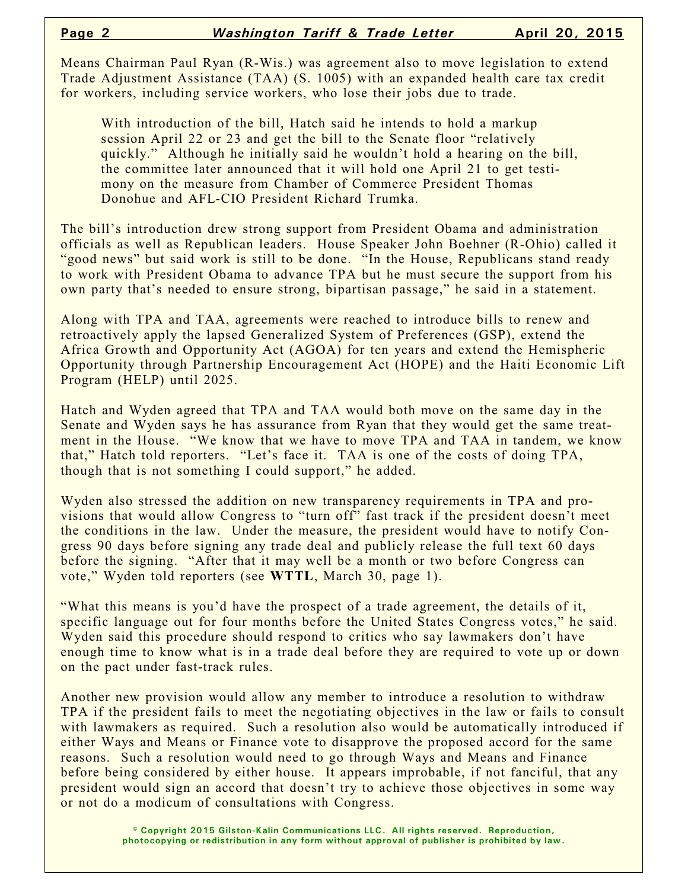Means Chairman Paul Ryan (R-Wis.) was agreement also to move legislation to extend Trade Adjustment Assistance (TAA) (S. 1005) with an expanded health care tax credit for workers, including service workers, who lose their jobs due to trade.

With introduction of the bill, Hatch said he intends to hold a markup session April 22 or 23 and get the bill to the Senate floor "relatively quickly." Although he initially said he wouldn't hold a hearing on the bill, the committee later announced that it will hold one April 21 to get testimony on the measure from Chamber of Commerce President Thomas Donohue and AFL-CIO President Richard Trumka.

The bill's introduction drew strong support from President Obama and administration officials as well as Republican leaders. House Speaker John Boehner (R-Ohio) called it "good news" but said work is still to be done. "In the House, Republicans stand ready to work with President Obama to advance TPA but he must secure the support from his own party that's needed to ensure strong, bipartisan passage," he said in a statement.

Along with TPA and TAA, agreements were reached to introduce bills to renew and retroactively apply the lapsed Generalized System of Preferences (GSP), extend the Africa Growth and Opportunity Act (AGOA) for ten years and extend the Hemispheric Opportunity through Partnership Encouragement Act (HOPE) and the Haiti Economic Lift Program (HELP) until 2025.

Hatch and Wyden agreed that TPA and TAA would both move on the same day in the Senate and Wyden says he has assurance from Ryan that they would get the same treatment in the House. "We know that we have to move TPA and TAA in tandem, we know that," Hatch told reporters. "Let's face it. TAA is one of the costs of doing TPA, though that is not something I could support," he added.

Wyden also stressed the addition on new transparency requirements in TPA and provisions that would allow Congress to "turn off" fast track if the president doesn't meet the conditions in the law. Under the measure, the president would have to notify Congress 90 days before signing any trade deal and publicly release the full text 60 days before the signing. "After that it may well be a month or two before Congress can vote," Wyden told reporters (see **WTTL**, March 30, page 1).

"What this means is you'd have the prospect of a trade agreement, the details of it, specific language out for four months before the United States Congress votes," he said. Wyden said this procedure should respond to critics who say lawmakers don't have enough time to know what is in a trade deal before they are required to vote up or down on the pact under fast-track rules.

Another new provision would allow any member to introduce a resolution to withdraw TPA if the president fails to meet the negotiating objectives in the law or fails to consult with lawmakers as required. Such a resolution also would be automatically introduced if either Ways and Means or Finance vote to disapprove the proposed accord for the same reasons. Such a resolution would need to go through Ways and Means and Finance before being considered by either house. It appears improbable, if not fanciful, that any president would sign an accord that doesn't try to achieve those objectives in some way or not do a modicum of consultations with Congress.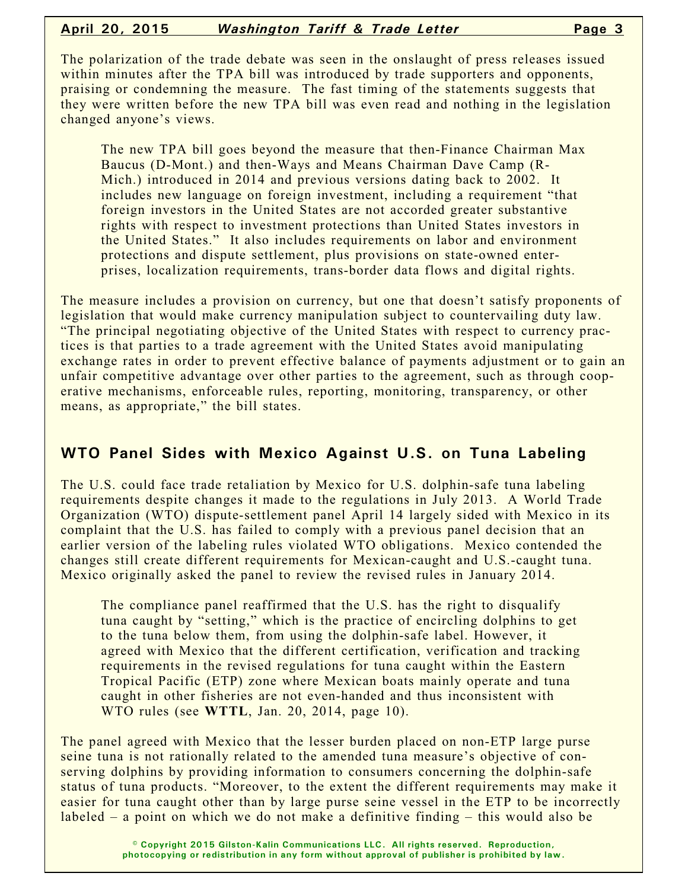#### **April 20, 2015** *Washington Tariff & Trade Letter* **Page 3**

The polarization of the trade debate was seen in the onslaught of press releases issued within minutes after the TPA bill was introduced by trade supporters and opponents, praising or condemning the measure. The fast timing of the statements suggests that they were written before the new TPA bill was even read and nothing in the legislation changed anyone's views.

The new TPA bill goes beyond the measure that then-Finance Chairman Max Baucus (D-Mont.) and then-Ways and Means Chairman Dave Camp (R-Mich.) introduced in 2014 and previous versions dating back to 2002. It includes new language on foreign investment, including a requirement "that foreign investors in the United States are not accorded greater substantive rights with respect to investment protections than United States investors in the United States." It also includes requirements on labor and environment protections and dispute settlement, plus provisions on state-owned enterprises, localization requirements, trans-border data flows and digital rights.

The measure includes a provision on currency, but one that doesn't satisfy proponents of legislation that would make currency manipulation subject to countervailing duty law. "The principal negotiating objective of the United States with respect to currency practices is that parties to a trade agreement with the United States avoid manipulating exchange rates in order to prevent effective balance of payments adjustment or to gain an unfair competitive advantage over other parties to the agreement, such as through cooperative mechanisms, enforceable rules, reporting, monitoring, transparency, or other means, as appropriate," the bill states.

# **WTO Panel Sides with Mexico Against U.S. on Tuna Labeling**

The U.S. could face trade retaliation by Mexico for U.S. dolphin-safe tuna labeling requirements despite changes it made to the regulations in July 2013. A World Trade Organization (WTO) dispute-settlement panel April 14 largely sided with Mexico in its complaint that the U.S. has failed to comply with a previous panel decision that an earlier version of the labeling rules violated WTO obligations. Mexico contended the changes still create different requirements for Mexican-caught and U.S.-caught tuna. Mexico originally asked the panel to review the revised rules in January 2014.

The compliance panel reaffirmed that the U.S. has the right to disqualify tuna caught by "setting," which is the practice of encircling dolphins to get to the tuna below them, from using the dolphin-safe label. However, it agreed with Mexico that the different certification, verification and tracking requirements in the revised regulations for tuna caught within the Eastern Tropical Pacific (ETP) zone where Mexican boats mainly operate and tuna caught in other fisheries are not even-handed and thus inconsistent with WTO rules (see **WTTL**, Jan. 20, 2014, page 10).

The panel agreed with Mexico that the lesser burden placed on non-ETP large purse seine tuna is not rationally related to the amended tuna measure's objective of conserving dolphins by providing information to consumers concerning the dolphin-safe status of tuna products. "Moreover, to the extent the different requirements may make it easier for tuna caught other than by large purse seine vessel in the ETP to be incorrectly labeled – a point on which we do not make a definitive finding – this would also be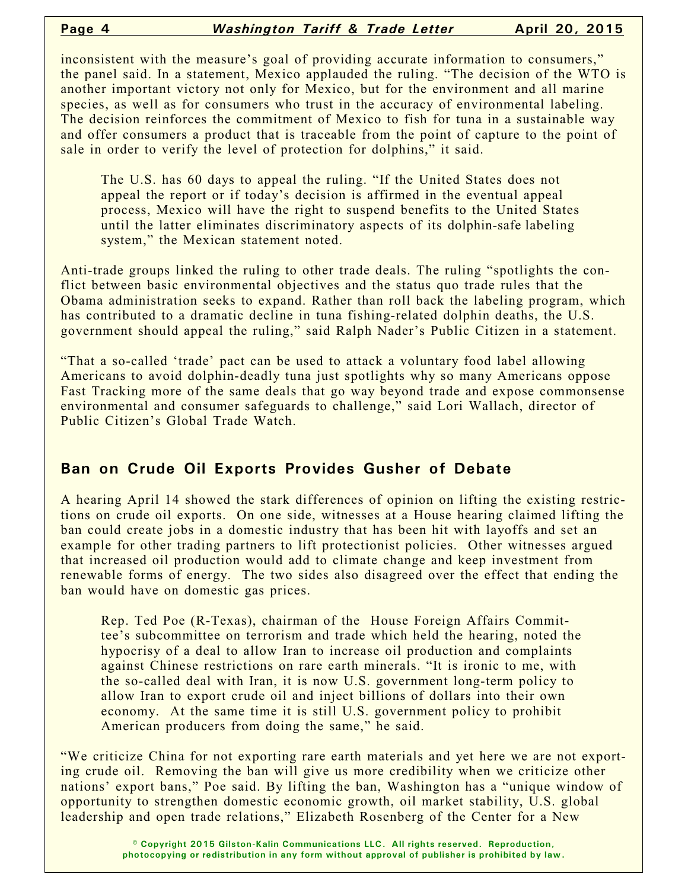inconsistent with the measure's goal of providing accurate information to consumers," the panel said. In a statement, Mexico applauded the ruling. "The decision of the WTO is another important victory not only for Mexico, but for the environment and all marine species, as well as for consumers who trust in the accuracy of environmental labeling. The decision reinforces the commitment of Mexico to fish for tuna in a sustainable way and offer consumers a product that is traceable from the point of capture to the point of sale in order to verify the level of protection for dolphins," it said.

The U.S. has 60 days to appeal the ruling. "If the United States does not appeal the report or if today's decision is affirmed in the eventual appeal process, Mexico will have the right to suspend benefits to the United States until the latter eliminates discriminatory aspects of its dolphin-safe labeling system," the Mexican statement noted.

Anti-trade groups linked the ruling to other trade deals. The ruling "spotlights the conflict between basic environmental objectives and the status quo trade rules that the Obama administration seeks to expand. Rather than roll back the labeling program, which has contributed to a dramatic decline in tuna fishing-related dolphin deaths, the U.S. government should appeal the ruling," said Ralph Nader's Public Citizen in a statement.

"That a so-called 'trade' pact can be used to attack a voluntary food label allowing Americans to avoid dolphin-deadly tuna just spotlights why so many Americans oppose Fast Tracking more of the same deals that go way beyond trade and expose commonsense environmental and consumer safeguards to challenge," said Lori Wallach, director of Public Citizen's Global Trade Watch.

# **Ban on Crude Oil Exports Provides Gusher of Debate**

A hearing April 14 showed the stark differences of opinion on lifting the existing restrictions on crude oil exports. On one side, witnesses at a House hearing claimed lifting the ban could create jobs in a domestic industry that has been hit with layoffs and set an example for other trading partners to lift protectionist policies. Other witnesses argued that increased oil production would add to climate change and keep investment from renewable forms of energy. The two sides also disagreed over the effect that ending the ban would have on domestic gas prices.

Rep. Ted Poe (R-Texas), chairman of the House Foreign Affairs Committee's subcommittee on terrorism and trade which held the hearing, noted the hypocrisy of a deal to allow Iran to increase oil production and complaints against Chinese restrictions on rare earth minerals. "It is ironic to me, with the so-called deal with Iran, it is now U.S. government long-term policy to allow Iran to export crude oil and inject billions of dollars into their own economy. At the same time it is still U.S. government policy to prohibit American producers from doing the same," he said.

"We criticize China for not exporting rare earth materials and yet here we are not exporting crude oil. Removing the ban will give us more credibility when we criticize other nations' export bans," Poe said. By lifting the ban, Washington has a "unique window of opportunity to strengthen domestic economic growth, oil market stability, U.S. global leadership and open trade relations," Elizabeth Rosenberg of the Center for a New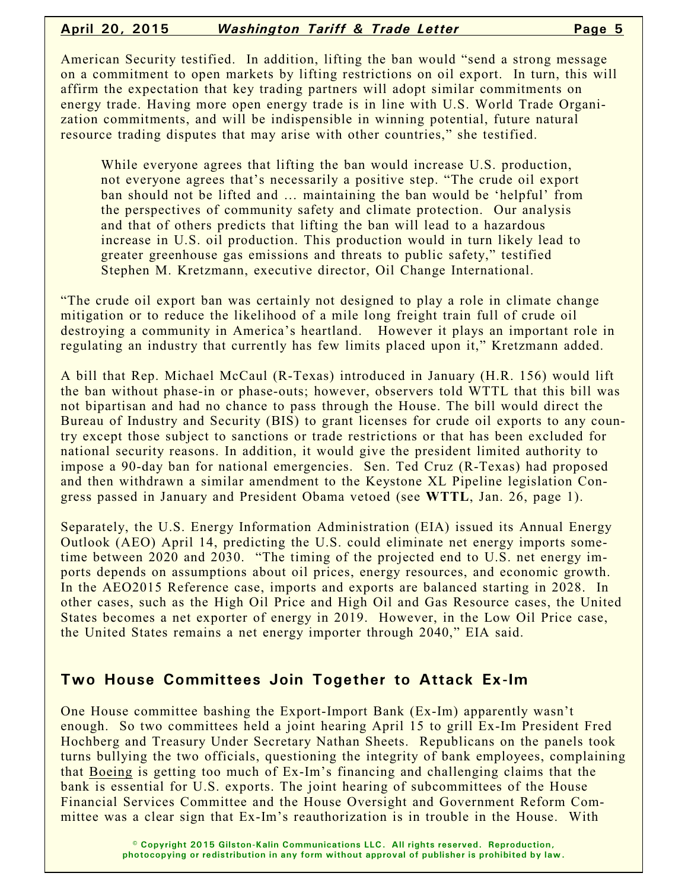#### **April 20, 2015** *Washington Tariff & Trade Letter* **Page 5**

American Security testified. In addition, lifting the ban would "send a strong message on a commitment to open markets by lifting restrictions on oil export. In turn, this will affirm the expectation that key trading partners will adopt similar commitments on energy trade. Having more open energy trade is in line with U.S. World Trade Organization commitments, and will be indispensible in winning potential, future natural resource trading disputes that may arise with other countries," she testified.

While everyone agrees that lifting the ban would increase U.S. production, not everyone agrees that's necessarily a positive step. "The crude oil export ban should not be lifted and … maintaining the ban would be 'helpful' from the perspectives of community safety and climate protection. Our analysis and that of others predicts that lifting the ban will lead to a hazardous increase in U.S. oil production. This production would in turn likely lead to greater greenhouse gas emissions and threats to public safety," testified Stephen M. Kretzmann, executive director, Oil Change International.

"The crude oil export ban was certainly not designed to play a role in climate change mitigation or to reduce the likelihood of a mile long freight train full of crude oil destroying a community in America's heartland. However it plays an important role in regulating an industry that currently has few limits placed upon it," Kretzmann added.

A bill that Rep. Michael McCaul (R-Texas) introduced in January (H.R. 156) would lift the ban without phase-in or phase-outs; however, observers told WTTL that this bill was not bipartisan and had no chance to pass through the House. The bill would direct the Bureau of Industry and Security (BIS) to grant licenses for crude oil exports to any country except those subject to sanctions or trade restrictions or that has been excluded for national security reasons. In addition, it would give the president limited authority to impose a 90-day ban for national emergencies. Sen. Ted Cruz (R-Texas) had proposed and then withdrawn a similar amendment to the Keystone XL Pipeline legislation Congress passed in January and President Obama vetoed (see **WTTL**, Jan. 26, page 1).

Separately, the U.S. Energy Information Administration (EIA) issued its Annual Energy Outlook (AEO) April 14, predicting the U.S. could eliminate net energy imports sometime between 2020 and 2030. "The timing of the projected end to U.S. net energy imports depends on assumptions about oil prices, energy resources, and economic growth. In the AEO2015 Reference case, imports and exports are balanced starting in 2028. In other cases, such as the High Oil Price and High Oil and Gas Resource cases, the United States becomes a net exporter of energy in 2019. However, in the Low Oil Price case, the United States remains a net energy importer through 2040," EIA said.

### **Two House Committees Join Together to Attack Ex-Im**

One House committee bashing the Export-Import Bank (Ex-Im) apparently wasn't enough. So two committees held a joint hearing April 15 to grill Ex-Im President Fred Hochberg and Treasury Under Secretary Nathan Sheets. Republicans on the panels took turns bullying the two officials, questioning the integrity of bank employees, complaining that Boeing is getting too much of Ex-Im's financing and challenging claims that the bank is essential for U.S. exports. The joint hearing of subcommittees of the House Financial Services Committee and the House Oversight and Government Reform Committee was a clear sign that Ex-Im's reauthorization is in trouble in the House. With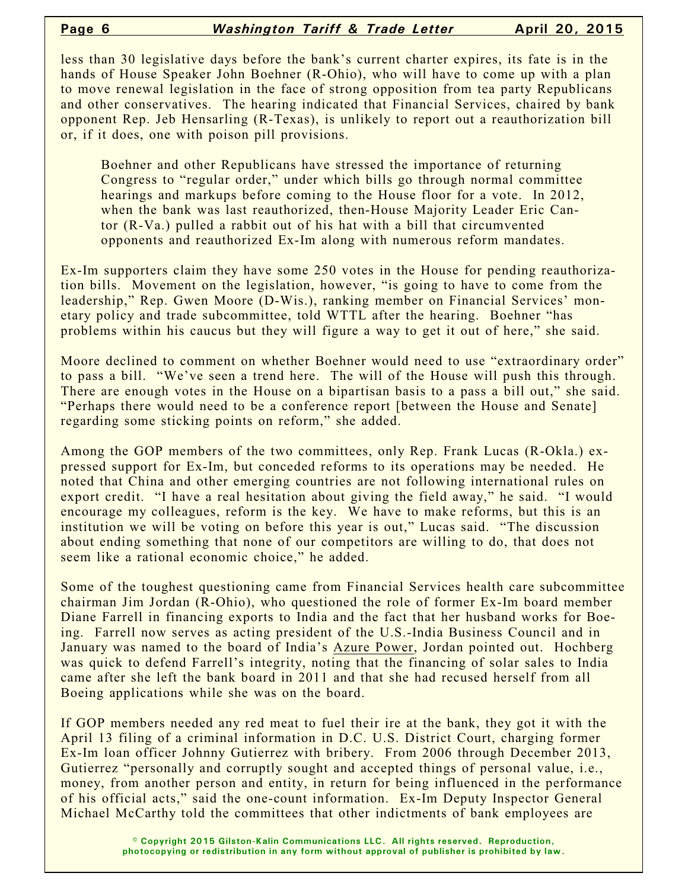less than 30 legislative days before the bank's current charter expires, its fate is in the hands of House Speaker John Boehner (R-Ohio), who will have to come up with a plan to move renewal legislation in the face of strong opposition from tea party Republicans and other conservatives. The hearing indicated that Financial Services, chaired by bank opponent Rep. Jeb Hensarling (R-Texas), is unlikely to report out a reauthorization bill or, if it does, one with poison pill provisions.

Boehner and other Republicans have stressed the importance of returning Congress to "regular order," under which bills go through normal committee hearings and markups before coming to the House floor for a vote. In 2012, when the bank was last reauthorized, then-House Majority Leader Eric Cantor (R-Va.) pulled a rabbit out of his hat with a bill that circumvented opponents and reauthorized Ex-Im along with numerous reform mandates.

Ex-Im supporters claim they have some 250 votes in the House for pending reauthorization bills. Movement on the legislation, however, "is going to have to come from the leadership," Rep. Gwen Moore (D-Wis.), ranking member on Financial Services' monetary policy and trade subcommittee, told WTTL after the hearing. Boehner "has problems within his caucus but they will figure a way to get it out of here," she said.

Moore declined to comment on whether Boehner would need to use "extraordinary order" to pass a bill. "We've seen a trend here. The will of the House will push this through. There are enough votes in the House on a bipartisan basis to a pass a bill out," she said. "Perhaps there would need to be a conference report [between the House and Senate] regarding some sticking points on reform," she added.

Among the GOP members of the two committees, only Rep. Frank Lucas (R-Okla.) expressed support for Ex-Im, but conceded reforms to its operations may be needed. He noted that China and other emerging countries are not following international rules on export credit. "I have a real hesitation about giving the field away," he said. "I would encourage my colleagues, reform is the key. We have to make reforms, but this is an institution we will be voting on before this year is out," Lucas said. "The discussion about ending something that none of our competitors are willing to do, that does not seem like a rational economic choice," he added.

Some of the toughest questioning came from Financial Services health care subcommittee chairman Jim Jordan (R-Ohio), who questioned the role of former Ex-Im board member Diane Farrell in financing exports to India and the fact that her husband works for Boeing. Farrell now serves as acting president of the U.S.-India Business Council and in January was named to the board of India's Azure Power, Jordan pointed out. Hochberg was quick to defend Farrell's integrity, noting that the financing of solar sales to India came after she left the bank board in 2011 and that she had recused herself from all Boeing applications while she was on the board.

If GOP members needed any red meat to fuel their ire at the bank, they got it with the April 13 filing of a criminal information in D.C. U.S. District Court, charging former Ex-Im loan officer Johnny Gutierrez with bribery. From 2006 through December 2013, Gutierrez "personally and corruptly sought and accepted things of personal value, i.e., money, from another person and entity, in return for being influenced in the performance of his official acts," said the one-count information. Ex-Im Deputy Inspector General Michael McCarthy told the committees that other indictments of bank employees are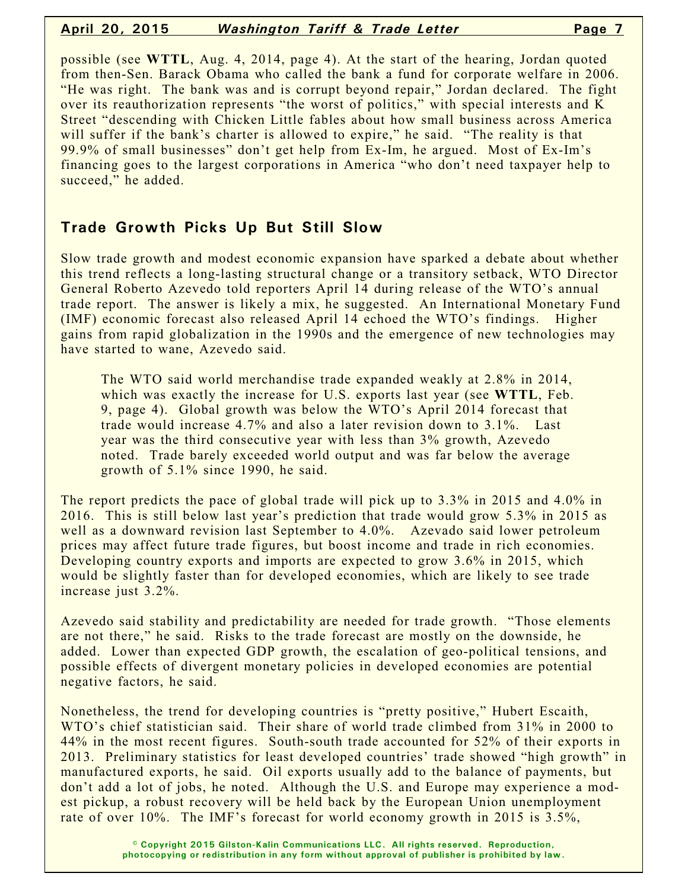#### **April 20, 2015** *Washington Tariff & Trade Letter* **Page 7**

possible (see **WTTL**, Aug. 4, 2014, page 4). At the start of the hearing, Jordan quoted from then-Sen. Barack Obama who called the bank a fund for corporate welfare in 2006. "He was right. The bank was and is corrupt beyond repair," Jordan declared. The fight over its reauthorization represents "the worst of politics," with special interests and K Street "descending with Chicken Little fables about how small business across America will suffer if the bank's charter is allowed to expire," he said. "The reality is that 99.9% of small businesses" don't get help from Ex-Im, he argued. Most of Ex-Im's financing goes to the largest corporations in America "who don't need taxpayer help to succeed," he added.

## **Trade Growth Picks Up But Still Slow**

Slow trade growth and modest economic expansion have sparked a debate about whether this trend reflects a long-lasting structural change or a transitory setback, WTO Director General Roberto Azevedo told reporters April 14 during release of the WTO's annual trade report. The answer is likely a mix, he suggested. An International Monetary Fund (IMF) economic forecast also released April 14 echoed the WTO's findings. Higher gains from rapid globalization in the 1990s and the emergence of new technologies may have started to wane, Azevedo said.

The WTO said world merchandise trade expanded weakly at 2.8% in 2014, which was exactly the increase for U.S. exports last year (see **WTTL**, Feb. 9, page 4). Global growth was below the WTO's April 2014 forecast that trade would increase 4.7% and also a later revision down to 3.1%. Last year was the third consecutive year with less than 3% growth, Azevedo noted. Trade barely exceeded world output and was far below the average growth of 5.1% since 1990, he said.

The report predicts the pace of global trade will pick up to 3.3% in 2015 and 4.0% in 2016. This is still below last year's prediction that trade would grow 5.3% in 2015 as well as a downward revision last September to 4.0%. Azevado said lower petroleum prices may affect future trade figures, but boost income and trade in rich economies. Developing country exports and imports are expected to grow 3.6% in 2015, which would be slightly faster than for developed economies, which are likely to see trade increase just 3.2%.

Azevedo said stability and predictability are needed for trade growth. "Those elements are not there," he said. Risks to the trade forecast are mostly on the downside, he added. Lower than expected GDP growth, the escalation of geo-political tensions, and possible effects of divergent monetary policies in developed economies are potential negative factors, he said.

Nonetheless, the trend for developing countries is "pretty positive," Hubert Escaith, WTO's chief statistician said. Their share of world trade climbed from 31% in 2000 to 44% in the most recent figures. South-south trade accounted for 52% of their exports in 2013. Preliminary statistics for least developed countries' trade showed "high growth" in manufactured exports, he said. Oil exports usually add to the balance of payments, but don't add a lot of jobs, he noted. Although the U.S. and Europe may experience a modest pickup, a robust recovery will be held back by the European Union unemployment rate of over 10%. The IMF's forecast for world economy growth in 2015 is 3.5%,